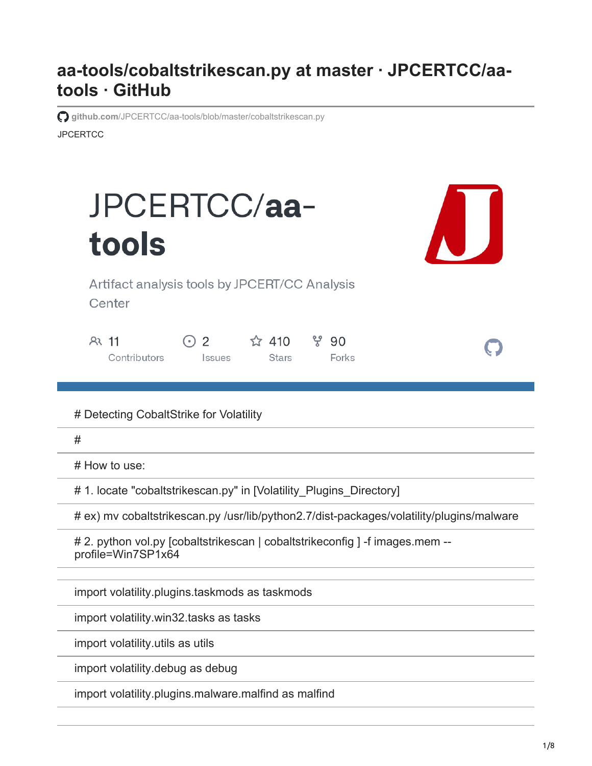## **aa-tools/cobaltstrikescan.py at master · JPCERTCC/aatools · GitHub**

**JPCERTCC github.com[/JPCERTCC/aa-tools/blob/master/cobaltstrikescan.py](https://github.com/JPCERTCC/aa-tools/blob/master/cobaltstrikescan.py)** 



import volatility.plugins.malware.malfind as malfind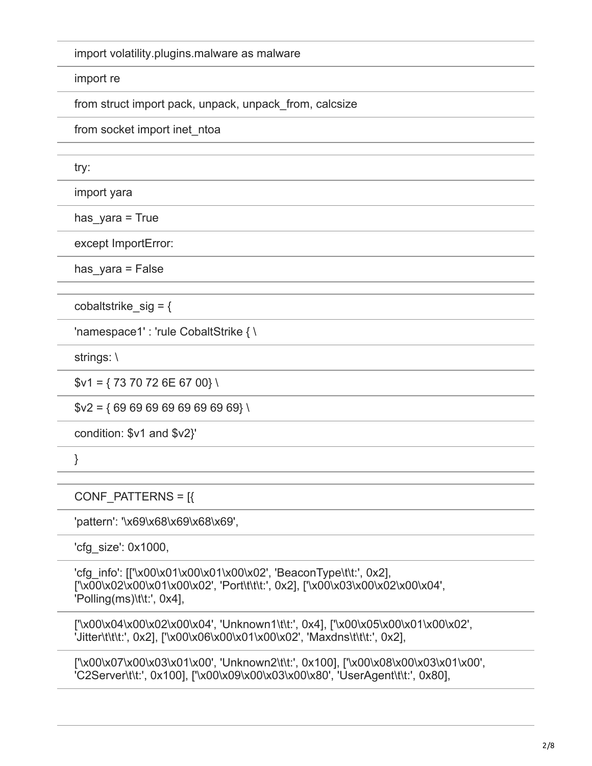import volatility.plugins.malware as malware

import re

from struct import pack, unpack, unpack\_from, calcsize

from socket import inet ntoa

try:

import yara

has  $yara = True$ 

except ImportError:

has  $y$ ara = False

cobaltstrike  $sig = {$ 

'namespace1' : 'rule CobaltStrike { \

strings: \

 $$v1 = {7370726E6700} \$ 

 $$v2 = {6969696969696969}$ 

condition: \$v1 and \$v2}'

}

CONF\_PATTERNS = [{

'pattern': '\x69\x68\x69\x68\x69',

'cfg\_size': 0x1000,

'cfg\_info': [['\x00\x01\x00\x01\x00\x02', 'BeaconType\t\t:', 0x2], ['\x00\x02\x00\x01\x00\x02', 'Port\t\t\t:', 0x2], ['\x00\x03\x00\x02\x00\x04', 'Polling(ms)\t\t:', 0x4],

['\x00\x04\x00\x02\x00\x04', 'Unknown1\t\t:', 0x4], ['\x00\x05\x00\x01\x00\x02', 'Jitter\t\t\t:', 0x2], ['\x00\x06\x00\x01\x00\x02', 'Maxdns\t\t\t:', 0x2],

['\x00\x07\x00\x03\x01\x00', 'Unknown2\t\t:', 0x100], ['\x00\x08\x00\x03\x01\x00', 'C2Server\t\t:', 0x100], ['\x00\x09\x00\x03\x00\x80', 'UserAgent\t\t:', 0x80],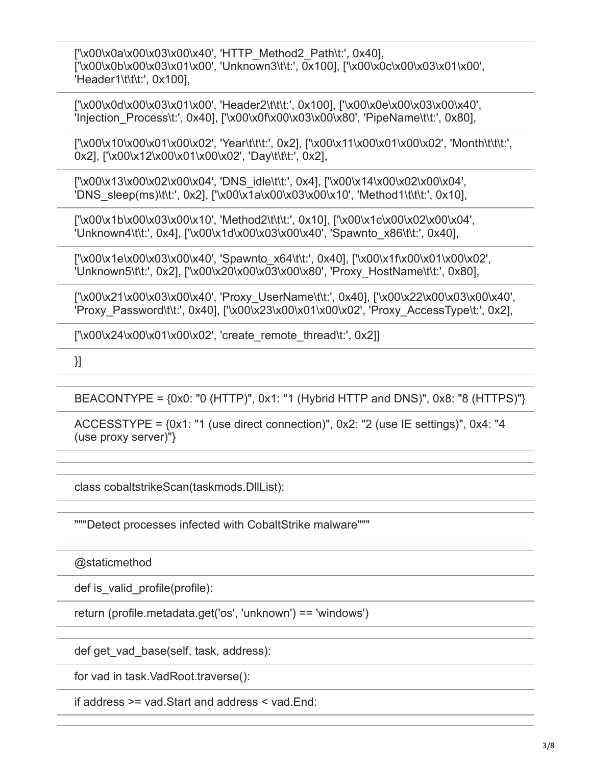['\x00\x0a\x00\x03\x00\x40', 'HTTP\_Method2\_Path\t:', 0x40], ['\x00\x0b\x00\x03\x01\x00', 'Unknown3\t\t:', 0x100], ['\x00\x0c\x00\x03\x01\x00', 'Header1\t\t\t:', 0x100],

['\x00\x0d\x00\x03\x01\x00', 'Header2\t\t\t:', 0x100], ['\x00\x0e\x00\x03\x00\x40', 'Injection\_Process\t:', 0x40], ['\x00\x0f\x00\x03\x00\x80', 'PipeName\t\t:', 0x80],

['\x00\x10\x00\x01\x00\x02', 'Year\t\t\t:', 0x2], ['\x00\x11\x00\x01\x00\x02', 'Month\t\t\t:', 0x2], ['\x00\x12\x00\x01\x00\x02', 'Day\t\t\t:', 0x2],

['\x00\x13\x00\x02\x00\x04', 'DNS\_idle\t\t:', 0x4], ['\x00\x14\x00\x02\x00\x04', 'DNS\_sleep(ms)\t\t:', 0x2], ['\x00\x1a\x00\x03\x00\x10', 'Method1\t\t\t:', 0x10],

['\x00\x1b\x00\x03\x00\x10', 'Method2\t\t\t:', 0x10], ['\x00\x1c\x00\x02\x00\x04', 'Unknown4\t\t:', 0x4], ['\x00\x1d\x00\x03\x00\x40', 'Spawnto\_x86\t\t:', 0x40],

['\x00\x1e\x00\x03\x00\x40', 'Spawnto\_x64\t\t:', 0x40], ['\x00\x1f\x00\x01\x00\x02', 'Unknown5\t\t:', 0x2], ['\x00\x20\x00\x03\x00\x80', 'Proxy\_HostName\t\t:', 0x80],

['\x00\x21\x00\x03\x00\x40', 'Proxy\_UserName\t\t:', 0x40], ['\x00\x22\x00\x03\x00\x40', 'Proxy\_Password\t\t:', 0x40], ['\x00\x23\x00\x01\x00\x02', 'Proxy\_AccessType\t:', 0x2],

['\x00\x24\x00\x01\x00\x02', 'create\_remote\_thread\t:', 0x2]]

}]

BEACONTYPE = {0x0: "0 (HTTP)", 0x1: "1 (Hybrid HTTP and DNS)", 0x8: "8 (HTTPS)"}

ACCESSTYPE = {0x1: "1 (use direct connection)", 0x2: "2 (use IE settings)", 0x4: "4 (use proxy server)"}

class cobaltstrikeScan(taskmods.DllList):

"""Detect processes infected with CobaltStrike malware"""

@staticmethod

def is valid profile(profile):

return (profile.metadata.get('os', 'unknown') == 'windows')

def get\_vad\_base(self, task, address):

for vad in task.VadRoot.traverse():

if address >= vad.Start and address < vad.End: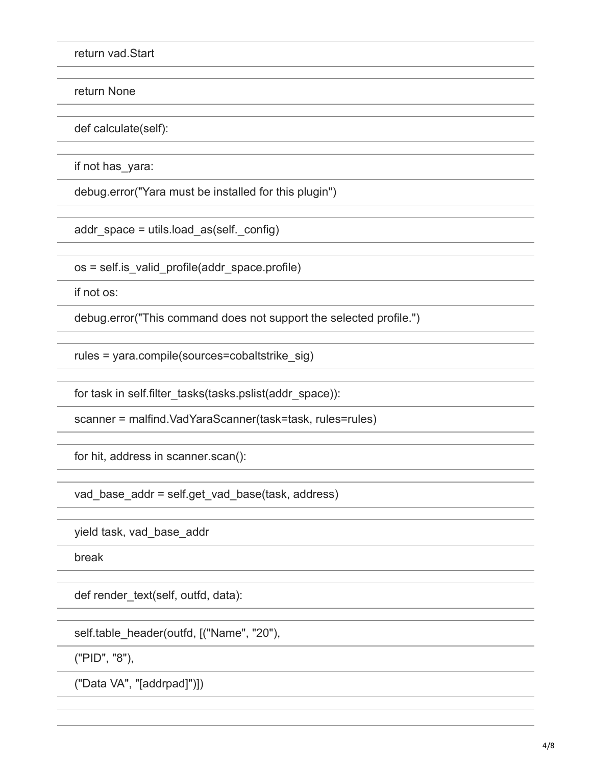return vad.Start

return None

def calculate(self):

if not has\_yara:

debug.error("Yara must be installed for this plugin")

addr space = utils.load  $as(self. config)$ 

os = self.is\_valid\_profile(addr\_space.profile)

if not os:

debug.error("This command does not support the selected profile.")

rules = yara.compile(sources=cobaltstrike\_sig)

for task in self.filter\_tasks(tasks.pslist(addr\_space)):

scanner = malfind.VadYaraScanner(task=task, rules=rules)

for hit, address in scanner.scan():

vad base addr = self.get vad base(task, address)

yield task, vad\_base\_addr

break

def render\_text(self, outfd, data):

self.table\_header(outfd, [("Name", "20"),

("PID", "8"),

("Data VA", "[addrpad]")])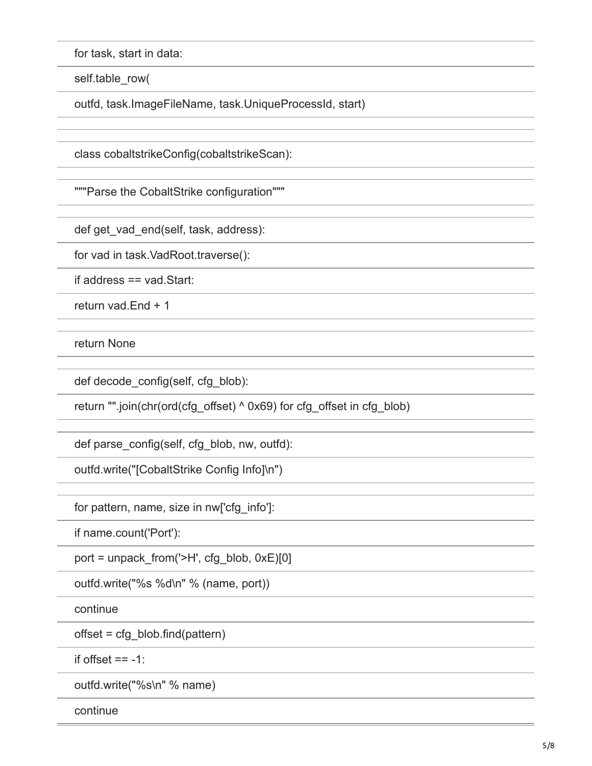for task, start in data:

self.table\_row(

outfd, task.ImageFileName, task.UniqueProcessId, start)

class cobaltstrikeConfig(cobaltstrikeScan):

"""Parse the CobaltStrike configuration"""

def get\_vad\_end(self, task, address):

for vad in task.VadRoot.traverse():

if address == vad.Start:

return vad.End + 1

return None

def decode\_config(self, cfg\_blob):

return "".join(chr(ord(cfg\_offset) ^ 0x69) for cfg\_offset in cfg\_blob)

def parse\_config(self, cfg\_blob, nw, outfd):

outfd.write("[CobaltStrike Config Info]\n")

for pattern, name, size in nw['cfg\_info']:

if name.count('Port'):

port = unpack from(' $>H'$ , cfg\_blob, 0xE)[0]

outfd.write("%s %d\n" % (name, port))

continue

offset = cfg\_blob.find(pattern)

if offset  $== -1$ :

outfd.write("%s\n" % name)

continue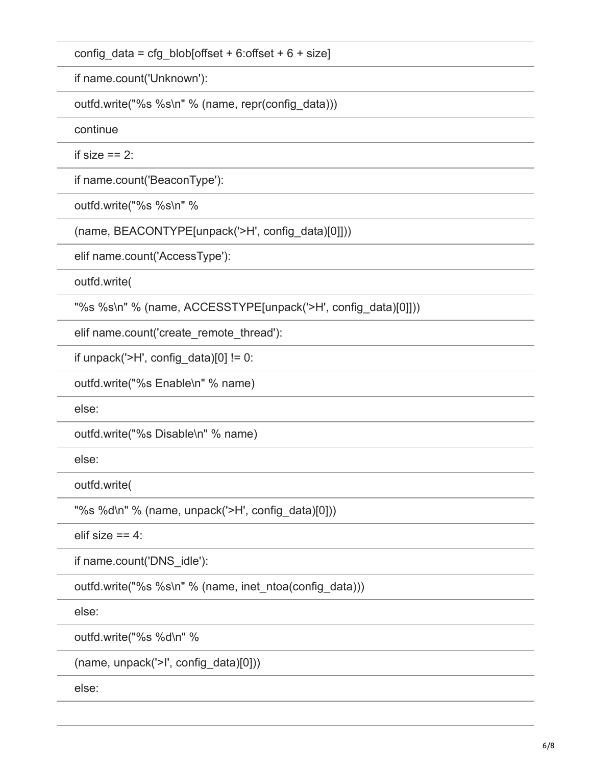config data = cfg\_blob[offset + 6:offset + 6 + size]

if name.count('Unknown'):

outfd.write("%s %s\n" % (name, repr(config\_data)))

continue

if size  $== 2$ :

if name.count('BeaconType'):

outfd.write("%s %s\n" %

(name, BEACONTYPE[unpack('>H', config\_data)[0]]))

elif name.count('AccessType'):

outfd.write(

"%s %s\n" % (name, ACCESSTYPE[unpack('>H', config\_data)[0]]))

elif name.count('create\_remote\_thread'):

if unpack(' $>H'$ , config data)[0] != 0:

outfd.write("%s Enable\n" % name)

else:

outfd.write("%s Disable\n" % name)

else:

outfd.write(

"%s %d\n" % (name, unpack('>H', config\_data)[0]))

elif size  $== 4$ :

if name.count('DNS\_idle'):

outfd.write("%s %s\n" % (name, inet\_ntoa(config\_data)))

else:

outfd.write("%s %d\n" %

(name, unpack('>I', config\_data)[0]))

else: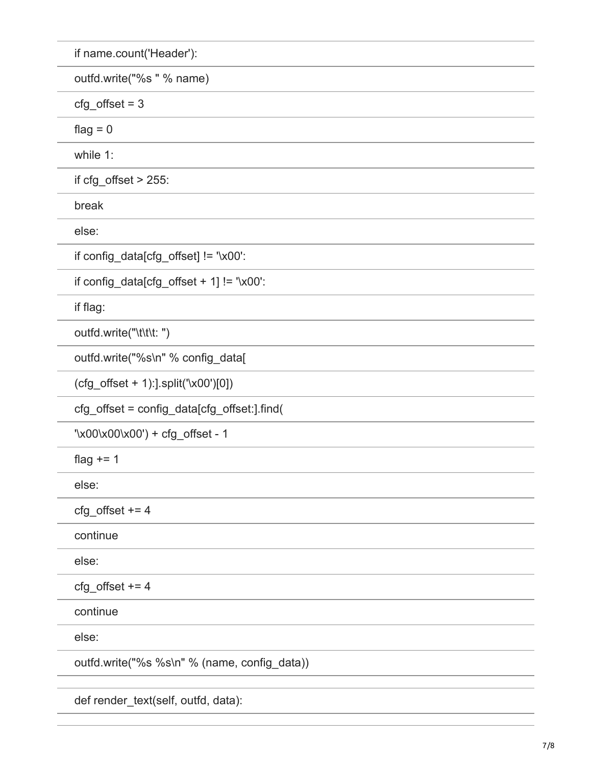| if name.count('Header'):                        |
|-------------------------------------------------|
| outfd.write("%s " % name)                       |
| $cfg\_offset = 3$                               |
| flag $= 0$                                      |
| while 1:                                        |
| if $cfg_{\text{offset}} > 255$ :                |
| break                                           |
| else:                                           |
| if config_data[cfg_offset] != '\x00':           |
| if config_data[cfg_offset + $1$ ] != '\x00':    |
| if flag:                                        |
| outfd.write("\t\t\t: ")                         |
| outfd.write("%s\n" % config_data[               |
| $(cfg_{\text{offset}} + 1)$ : split('\x00')[0]) |
| cfg_offset = config_data[cfg_offset:].find(     |
| '\x00\x00\x00') + cfg_offset - 1                |
| flag $+= 1$                                     |
| else:                                           |
| $cfg_ofset += 4$                                |
| continue                                        |
| else:                                           |
| $cfg_ofset += 4$                                |
| continue                                        |
| else:                                           |
| outfd.write("%s %s\n" % (name, config_data))    |
|                                                 |

def render\_text(self, outfd, data):